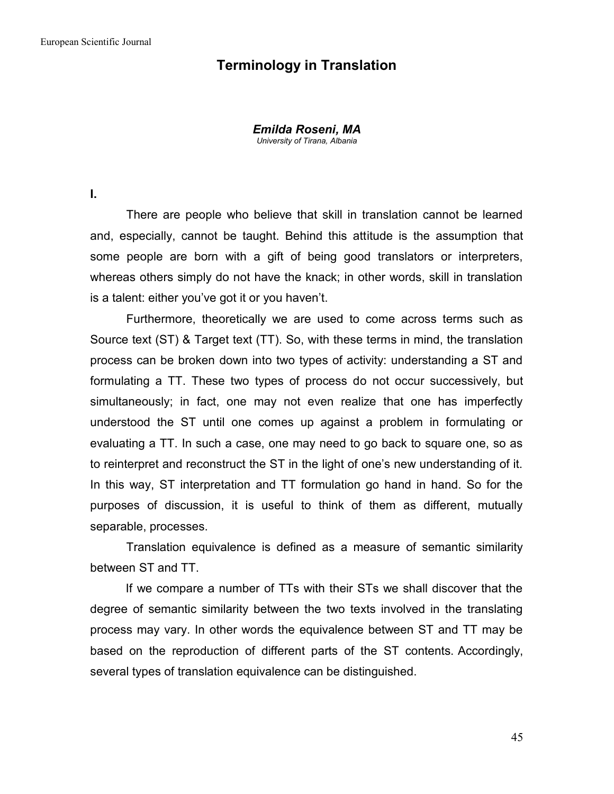## **Terminology in Translation**

*Emilda Roseni, MA University of Tirana, Albania*

**I.**

There are people who believe that skill in translation cannot be learned and, especially, cannot be taught. Behind this attitude is the assumption that some people are born with a gift of being good translators or interpreters, whereas others simply do not have the knack; in other words, skill in translation is a talent: either you've got it or you haven't.

Furthermore, theoretically we are used to come across terms such as Source text (ST) & Target text (TT). So, with these terms in mind, the translation process can be broken down into two types of activity: understanding a ST and formulating a TT. These two types of process do not occur successively, but simultaneously; in fact, one may not even realize that one has imperfectly understood the ST until one comes up against a problem in formulating or evaluating a TT. In such a case, one may need to go back to square one, so as to reinterpret and reconstruct the ST in the light of one's new understanding of it. In this way, ST interpretation and TT formulation go hand in hand. So for the purposes of discussion, it is useful to think of them as different, mutually separable, processes.

Translation equivalence is defined as a measure of semantic similarity between ST and TT.

If we compare a number of TTs with their STs we shall discover that the degree of semantic similarity between the two texts involved in the translating process may vary. In other words the equivalence between ST and TT may be based on the reproduction of different parts of the ST contents. Accordingly, several types of translation equivalence can be distinguished.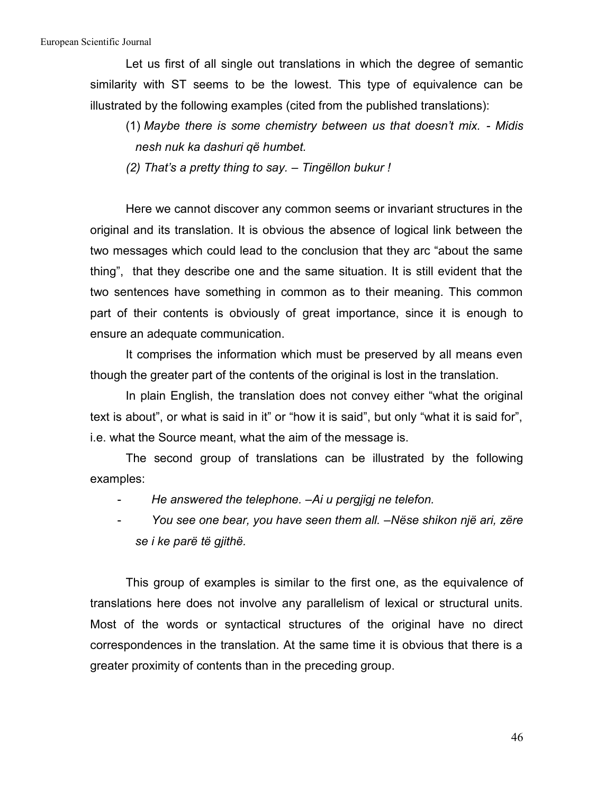Let us first of all single out translations in which the degree of semantic similarity with ST seems to be the lowest. This type of equivalence can be illustrated by the following examples (cited from the published translations):

(1) *Maybe there is some chemistry between us that doesn't mix. - Midis nesh nuk ka dashuri që humbet.*

*(2) That's a pretty thing to say. – Tingëllon bukur !*

Here we cannot discover any common seems or invariant structures in the original and its translation. It is obvious the absence of logical link between the two messages which could lead to the conclusion that they arc "about the same thing", that they describe one and the same situation. It is still evident that the two sentences have something in common as to their meaning. This common part of their contents is obviously of great importance, since it is enough to ensure an adequate communication.

It comprises the information which must be preserved by all means even though the greater part of the contents of the original is lost in the translation.

In plain English, the translation does not convey either "what the original text is about", or what is said in it" or "how it is said", but only "what it is said for", i.e. what the Source meant, what the aim of the message is.

The second group of translations can be illustrated by the following examples:

- *He answered the telephone. –Ai u pergjigj ne telefon.*
- *You see one bear, you have seen them all. –Nëse shikon një ari, zëre se i ke parë të gjithë.*

This group of examples is similar to the first one, as the equivalence of translations here does not involve any parallelism of lexical or structural units. Most of the words or syntactical structures of the original have no direct correspondences in the translation. At the same time it is obvious that there is a greater proximity of contents than in the preceding group.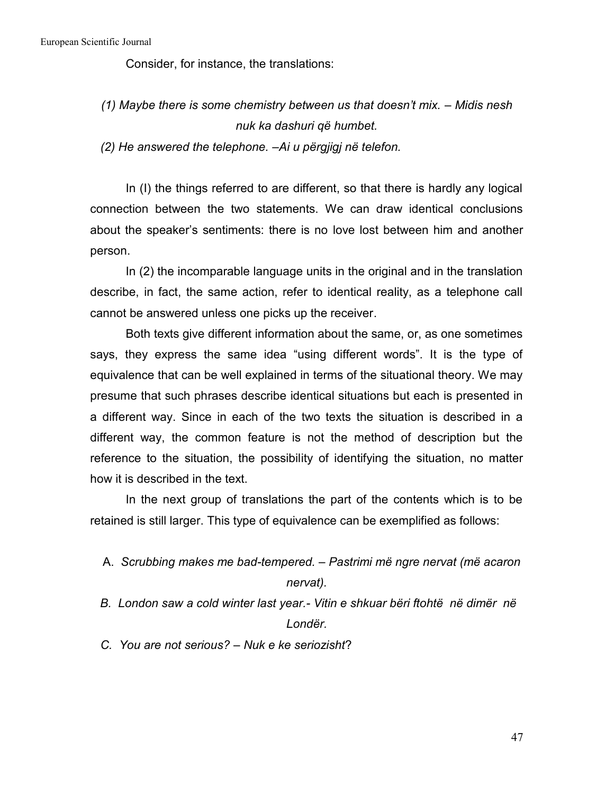Consider, for instance, the translations:

*(1) Maybe there is some chemistry between us that doesn't mix. – Midis nesh nuk ka dashuri që humbet.*

*(2) Не answered the telephone. –Ai u përgjigj në telefon.*

In (I) the things referred to are different, so that there is hardly any logical connection between the two statements. We can draw identical conclusions about the speaker's sentiments: there is no love lost between him and another person.

In (2) the incomparable language units in the original and in the translation describe, in fact, the same action, refer to identical reality, as a telephone call cannot be answered unless one picks up the receiver.

Both texts give different information about the same, or, as one sometimes says, they express the same idea "using different words". It is the type of equivalence that can be well explained in terms of the situational theory. We may presume that such phrases describe identical situations but each is presented in a different way. Since in each of the two texts the situation is described in a different way, the common feature is not the method of description but the reference to the situation, the possibility of identifying the situation, no matter how it is described in the text.

In the next group of translations the part of the contents which is to be retained is still larger. This type of equivalence can be exemplified as follows:

- A. *Scrubbing makes me bad-tempered. – Pastrimi më ngre nervat (më acaron nervat).*
- *B. London saw a cold winter last year.- Vitin e shkuar bëri ftohtë në dimër në Londër.*

*C. You are not serious? – Nuk e ke seriozisht*?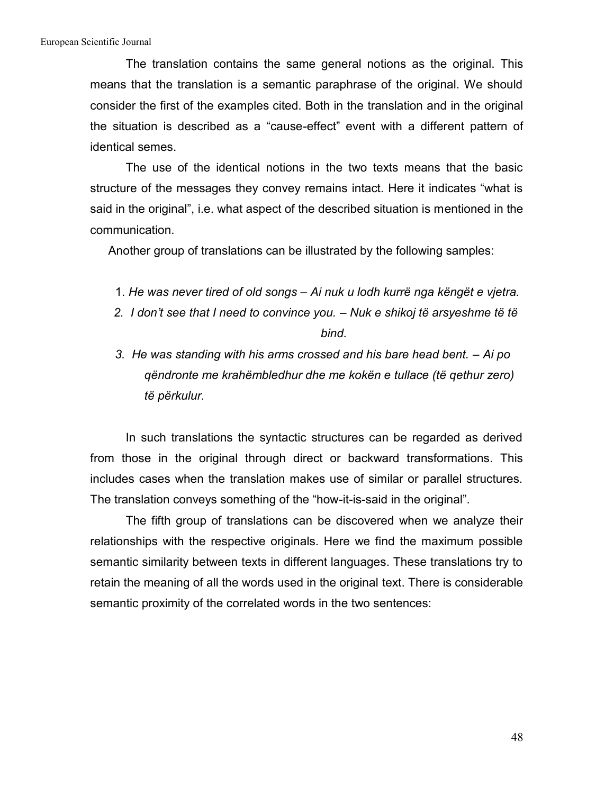The translation contains the same general notions as the original. This means that the translation is a semantic paraphrase of the original. We should consider the first of the examples cited. Both in the translation and in the original the situation is described as a "cause-effect" event with a different pattern of identical semes.

The use of the identical notions in the two texts means that the basic structure of the messages they convey remains intact. Here it indicates "what is said in the original", i.e. what aspect of the described situation is mentioned in the communication.

Another group of translations can be illustrated by the following samples:

- 1. *He was never tired of old songs – Ainuk u lodh kurrë nga këngët e vjetra.*
- *2. I don't see that I need to convince you. – Nuk e shikoj të arsyeshme të të bind.*
- *3. Не was standing with his arms crossed and his bare head bent. – Ai po qëndronte me krahëmbledhur dhe me kokën e tullace (të qethur zero) të përkulur.*

In such translations the syntactic structures can be regarded as derived from those in the original through direct or backward transformations. This includes cases when the translation makes use of similar or parallel structures. The translation conveys something of the "how-it-is-said in the original".

The fifth group of translations can be discovered when we analyze their relationships with the respective originals. Here we find the maximum possible semantic similarity between texts in different languages. These translations try to retain the meaning of all the words used in the original text. There is considerable semantic proximity of the correlated words in the two sentences: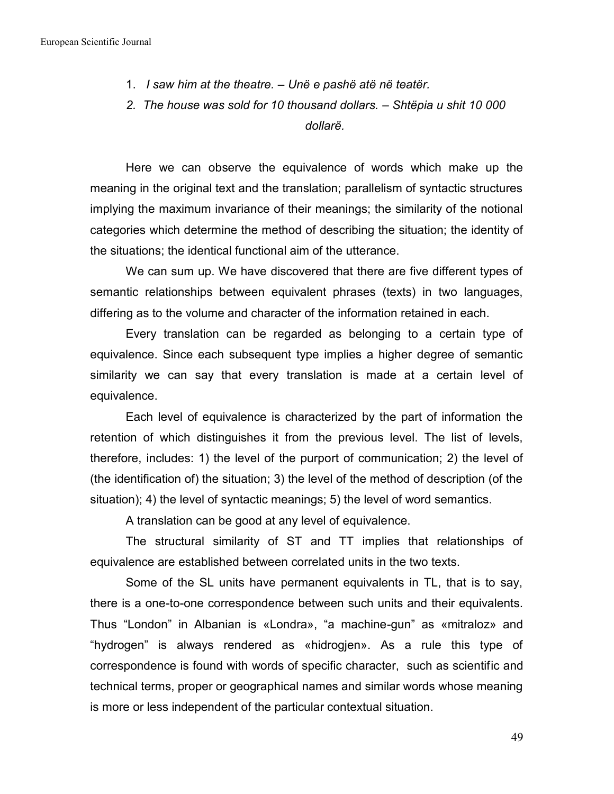- 1. *I saw him at the theatre. – Unë e pashë atë në teatër.*
- *2. The house was sold for 10 thousand dollars. – Shtëpia u shit 10 000 dollarë.*

Here we can observe the equivalence of words which make up the meaning in the original text and the translation; parallelism of syntactic structures implying the maximum invariance of their meanings; the similarity of the notional categories which determine the method of describing the situation; the identity of the situations; the identical functional aim of the utterance.

We can sum up. We have discovered that there are five different types of semantic relationships between equivalent phrases (texts) in two languages, differing as to the volume and character of the information retained in each.

Every translation can be regarded as belonging to a certain type of equivalence. Since each subsequent type implies a higher degree of semantic similarity we can say that every translation is made at a certain level of equivalence.

Each level of equivalence is characterized by the part of information the retention of which distinguishes it from the previous level. The list of levels, therefore, includes: 1) the level of the purport of communication; 2) the level of (the identification of) the situation; 3) the level of the method of description (of the situation); 4) the level of syntactic meanings; 5) the level of word semantics.

A translation can be good at any level of equivalence.

The structural similarity of ST and TT implies that relationships of equivalence are established between correlated units in the two texts.

Some of the SL units have permanent equivalents in TL, that is to say, there is a one-to-one correspondence between such units and their equivalents. Thus "London" in Albanian is «Londra», "a machine-gun" as «mitraloz» and "hydrogen" is always rendered as «hidrogjen». As a rule this type of correspondence is found with words of specific character, such as scientific and technical terms, proper or geographical names and similar words whose meaning is more or less independent of the particular contextual situation.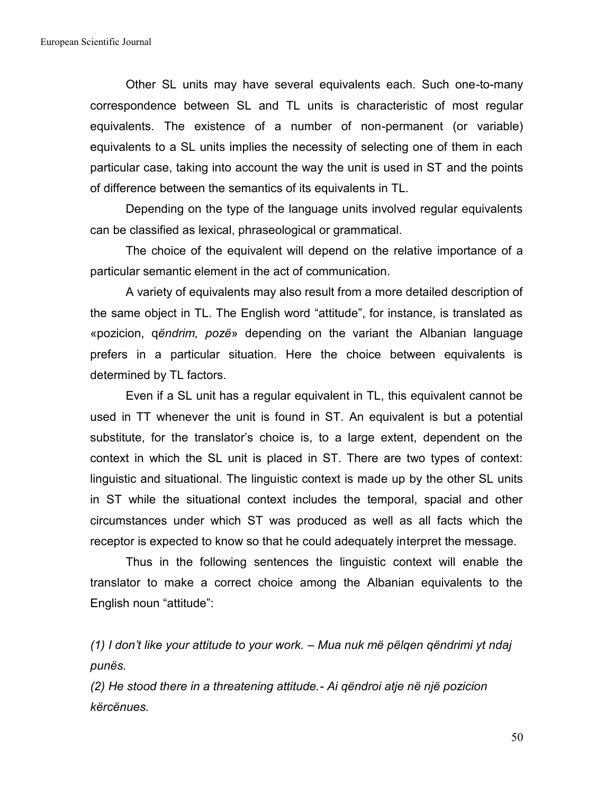Other SL units may have several equivalents each. Such one-to-many correspondence between SL and TL units is characteristic of most regular equivalents. The existence of a number of non-permanent (or variable) equivalents to a SL units implies the necessity of selecting one of them in each particular case, taking into account the way the unit is used in ST and the points of difference between the semantics of its equivalents in TL.

Depending on the type of the language units involved regular equivalents can be classified as lexical, phraseological or grammatical.

The choice of the equivalent will depend on the relative importance of a particular semantic element in the act of communication.

A variety of equivalents may also result from a more detailed description of the same object in TL. The English word "attitude", for instance, is translated as «pozicion, q*ëndrim, pozë*» depending on the variant the Albanian language prefers in a particular situation. Here the choice between equivalents is determined by TL factors.

Even if a SL unit has a regular equivalent in TL, this equivalent cannot be used in TT whenever the unit is found in ST. An equivalent is but a potential substitute, for the translator's choice is, to a large extent, dependent on the context in which the SL unit is placed in ST. There are two types of context: linguistic and situational. The linguistic context is made up by the other SL units in ST while the situational context includes the temporal, spacial and other circumstances under which ST was produced as well as all facts which the receptor is expected to know so that he could adequately interpret the message.

Thus in the following sentences the linguistic context will enable the translator to make a correct choice among the Albanian equivalents to the English noun "attitude":

*(1) I don't like your attitude to your work. – Mua nuk më pëlqen qëndrimi yt ndaj punës.*

*(2) He stood there in a threatening attitude.- Ai qëndroi atje në një pozicion kërcënues.*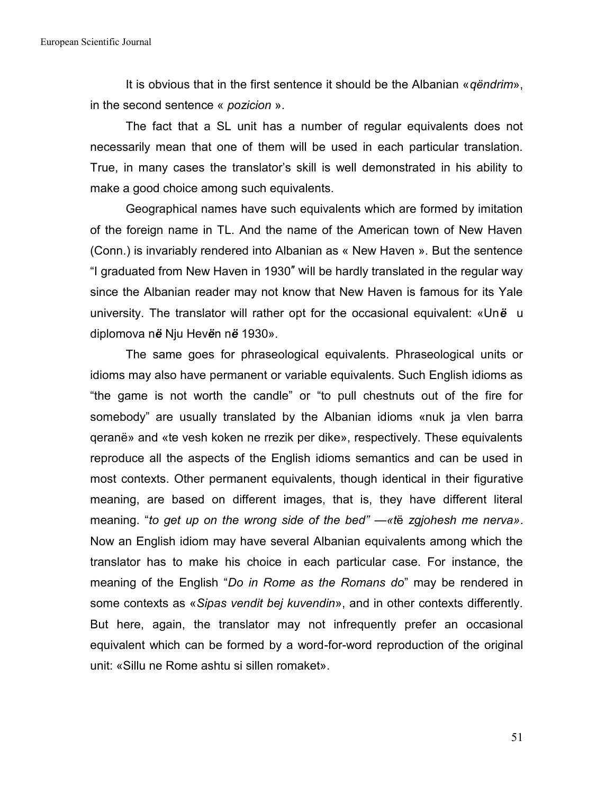It is obvious that in the first sentence it should be the Albanian «*qëndrim*», in the second sentence « *pozicion* ».

The fact that a SL unit has a number of regular equivalents does not necessarily mean that one of them will be used in each particular translation. True, in many cases the translator's skill is well demonstrated in his ability to make a good choice among such equivalents.

Geographical names have such equivalents which are formed by imitation of the foreign name in TL. And the name of the American town of New Haven (Conn.) is invariably rendered into Albanian as « New Haven ». But the sentence "I graduated from New Haven in 1930″ will be hardly translated in the regular way since the Albanian reader may not know that New Haven is famous for its Yale university. The translator will rather opt for the occasional equivalent: «Un*ë* u diplomova n*ë* Nju Hev*ë*n n*ë* 1930».

The same goes for phraseological equivalents. Phraseological units or idioms may also have permanent or variable equivalents. Such English idioms as "the game is not worth the candle" or "to pull chestnuts out of the fire for somebody" are usually translated by the Albanian idioms «nuk ja vlen barra qeranë» and «te vesh koken ne rrezik per dike», respectively. These equivalents reproduce all the aspects of the English idioms semantics and can be used in most contexts. Other permanent equivalents, though identical in their figurative meaning, are based on different images, that is, they have different literal meaning. "*to get up on the wrong side of the bed" —«t*ë *zgjohesh me nerva»*. Now an English idiom may have several Albanian equivalents among which the translator has to make his choice in each particular case. For instance, the meaning of the English "*Do in Rome as the Romans do*" may be rendered in some contexts as «*Sipas vendit bej kuvendin*», and in other contexts differently. But here, again, the translator may not infrequently prefer an occasional equivalent which can be formed by a word-for-word reproduction of the original unit: «Sillu ne Rome ashtu si sillen romaket».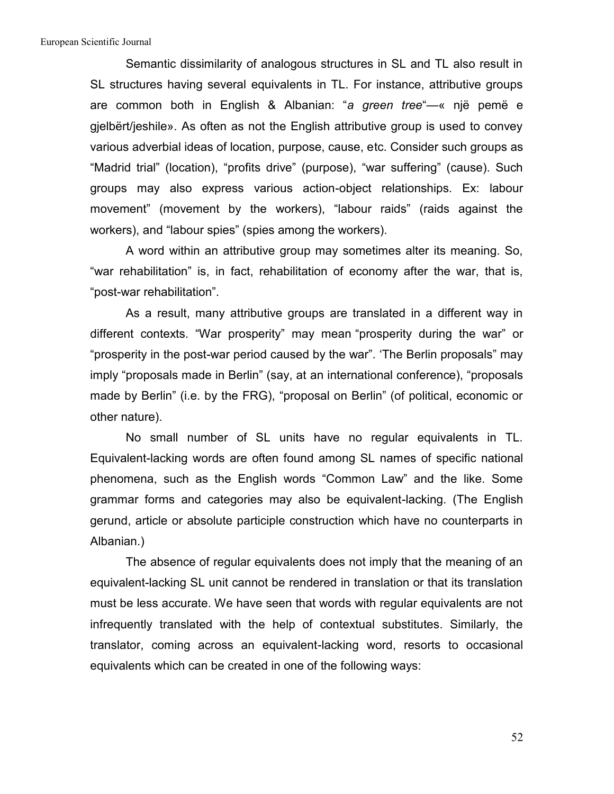Semantic dissimilarity of analogous structures in SL and TL also result in SL structures having several equivalents in TL. For instance, attributive groups are common both in English & Albanian: "*a green tree*"—« një pemë e gjelbërt/jeshile». As often as not the English attributive group is used to convey various adverbial ideas of location, purpose, cause, etc. Consider such groups as "Madrid trial" (location), "profits drive" (purpose), "war suffering" (cause). Such groups may also express various action-object relationships. Ex: labour movement" (movement by the workers), "labour raids" (raids against the workers), and "labour spies" (spies among the workers).

A word within an attributive group may sometimes alter its meaning. So, "war rehabilitation" is, in fact, rehabilitation of economy after the war, that is, "post-war rehabilitation".

As a result, many attributive groups are translated in a different way in different contexts. "War prosperity" may mean "prosperity during the war" or "prosperity in the post-war period caused by the war". 'The Berlin proposals" may imply "proposals made in Berlin" (say, at an international conference), "proposals made by Berlin" (i.e. by the FRG), "proposal on Berlin" (of political, economic or other nature).

No small number of SL units have no regular equivalents in TL. Equivalent-lacking words are often found among SL names of specific national phenomena, such as the English words "Common Law" and the like. Some grammar forms and categories may also be equivalent-lacking. (The English gerund, article or absolute participle construction which have no counterparts in Albanian.)

The absence of regular equivalents does not imply that the meaning of an equivalent-lacking SL unit cannot be rendered in translation or that its translation must be less accurate. We have seen that words with regular equivalents are not infrequently translated with the help of contextual substitutes. Similarly, the translator, coming across an equivalent-lacking word, resorts to occasional equivalents which can be created in one of the following ways:

52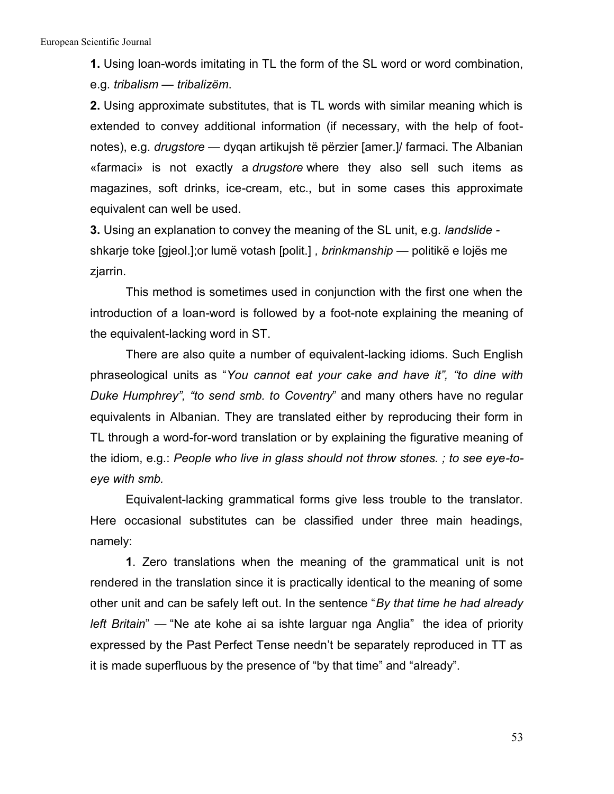**1.** Using loan-words imitating in TL the form of the SL word or word combination, e.g. *tribalism — tribalizëm*.

**2.** Using approximate substitutes, that is TL words with similar meaning which is extended to convey additional information (if necessary, with the help of foot notes), e.g. *drugstore —* dyqan artikujsh të përzier [amer.]/ farmaci. The Albanian «farmaci» is not exactly a *drugstore* where they also sell such items as magazines, soft drinks, ice-cream, etc., but in some cases this approximate equivalent can well be used.

**3.** Using an explanation to convey the meaning of the SL unit, e.g. *landslide*  shkarje toke [gjeol.];or lumë votash [polit.] *, brinkmanship —* politikë e lojës me

zjarrin.<br>This method is sometimes used in conjunction with the first one when the introduction of a loan-word is followed by a foot-note explaining the meaning of the equivalent-lacking word in ST.

There are also quite a number of equivalent-lacking idioms. Such English phraseological units as "*You cannot eat your cake and have it", "to dine with Duke Humphrey", "to send smb. to Coventry*" and many others have no regular equivalents in Albanian. They are translated either by reproducing their form in TL through a word-for-word translation or by explaining the figurative meaning of the idiom, e.g.: *People who live in glass should not throw stones. ; to see eye-to eye with smb.*

Equivalent-lacking grammatical forms give less trouble to the translator. Here occasional substitutes can be classified under three main headings, namely:

**1**. Zero translations when the meaning of the grammatical unit is not rendered in the translation since it is practically identical to the meaning of some other unit and can be safely leftout. In the sentence "*By that time he had already left Britain*" — "Ne ate kohe ai sa ishte larguar nga Anglia" the idea of priority expressed by the Past Perfect Tense needn't be separately reproduced in TT as it is made superfluous by the presence of "by that time" and "already".